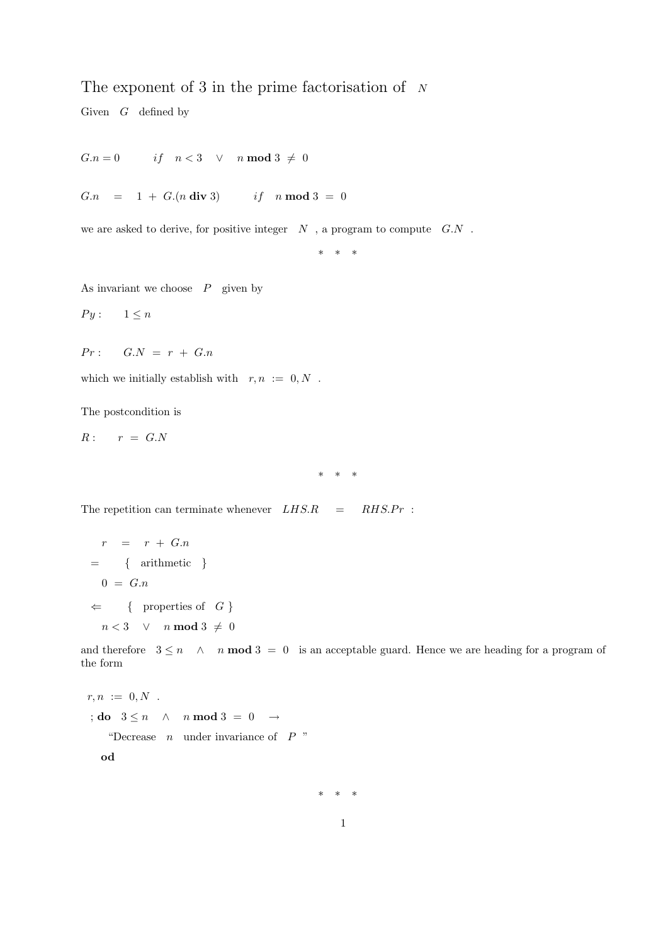## The exponent of 3 in the prime factorisation of  $N$

Given  $G$  defined by

$$
G.n = 0 \qquad \text{if} \quad n < 3 \quad \vee \quad n \text{ mod } 3 \neq 0
$$

 $G.n = 1 + G(n \text{ div } 3)$  if  $n \text{ mod } 3 = 0$ 

we are asked to derive, for positive integer  $N$ , a program to compute  $G.N$ .

\* \* \*

As invariant we choose  $P$  given by

 $Py: 1 \leq n$ 

 $Pr:$   $G.N = r + G.n$ 

which we initially establish with  $r, n := 0, N$ .

The postcondition is

 $R: r = G.N$ 

\* \* \*

The repetition can terminate whenever  $LHS.R = RHS.Pr$ :

$$
r = r + G.n
$$
  
= { arithmetic }  

$$
0 = G.n
$$
  

$$
\Leftarrow { properties of G }
$$
n < 3 \quad \lor \quad n \mod 3 \neq 0
$$
$$

and therefore  $3 \leq n \leq n$  n **mod**  $3 = 0$  is an acceptable guard. Hence we are heading for a program of the form

$$
r, n := 0, N
$$
  

$$
\vdots \textbf{do} \quad 3 \leq n \quad \wedge \quad n \textbf{ mod } 3 = 0 \quad \rightarrow
$$
  
"Decrease *n* under invariance of *P*"

od

\* \* \*